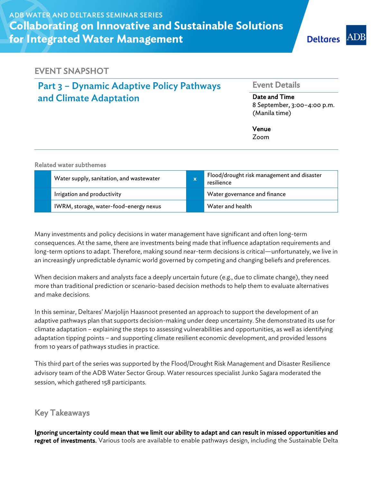### EVENT SNAPSHOT

# Part 3 – Dynamic Adaptive Policy Pathways and Climate Adaptation

#### Event Details

Date and Time 8 September, 3:00–4:00 p.m. (Manila time)

Venue

Zoom

| <b>Related water subthemes</b> |  |
|--------------------------------|--|
|--------------------------------|--|

| Water supply, sanitation, and wastewater | X. | Flood/drought risk management and disaster<br>resilience |
|------------------------------------------|----|----------------------------------------------------------|
| Irrigation and productivity              |    | Water governance and finance                             |
| IWRM, storage, water-food-energy nexus   |    | Water and health                                         |

Many investments and policy decisions in water management have significant and often long-term consequences. At the same, there are investments being made that influence adaptation requirements and long-term options to adapt. Therefore, making sound near-term decisions is critical—unfortunately, we live in an increasingly unpredictable dynamic world governed by competing and changing beliefs and preferences.

When decision makers and analysts face a deeply uncertain future (e.g., due to climate change), they need more than traditional prediction or scenario-based decision methods to help them to evaluate alternatives and make decisions.

In this seminar, Deltares' Marjolijn Haasnoot presented an approach to support the development of an adaptive pathways plan that supports decision-making under deep uncertainty. She demonstrated its use for climate adaptation – explaining the steps to assessing vulnerabilities and opportunities, as well as identifying adaptation tipping points – and supporting climate resilient economic development, and provided lessons from 10 years of pathways studies in practice.

This third part of the series was supported by the Flood/Drought Risk Management and Disaster Resilience advisory team of the ADB Water Sector Group. Water resources specialist Junko Sagara moderated the session, which gathered 158 participants.

### Key Takeaways

Ignoring uncertainty could mean that we limit our ability to adapt and can result in missed opportunities and **regret of investments.** Various tools are available to enable pathways design, including the Sustainable Delta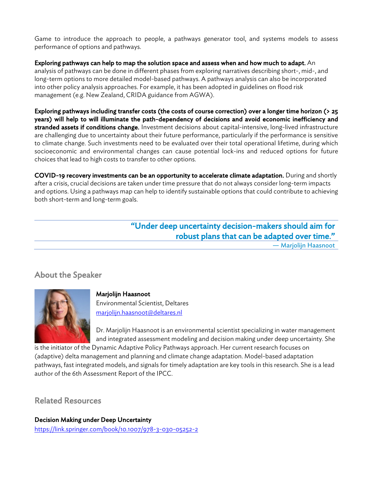Game to introduce the approach to people, a pathways generator tool, and systems models to assess performance of options and pathways.

Exploring pathways can help to map the solution space and assess when and how much to adapt. An analysis of pathways can be done in different phases from exploring narratives describing short-, mid-, and long-term options to more detailed model-based pathways. A pathways analysis can also be incorporated into other policy analysis approaches. For example, it has been adopted in guidelines on flood risk management (e.g. New Zealand, CRIDA guidance from AGWA).

Exploring pathways including transfer costs (the costs of course correction) over a longer time horizon (> 25 years) will help to will illuminate the path-dependency of decisions and avoid economic inefficiency and stranded assets if conditions change. Investment decisions about capital-intensive, long-lived infrastructure are challenging due to uncertainty about their future performance, particularly if the performance is sensitive to climate change. Such investments need to be evaluated over their total operational lifetime, during which socioeconomic and environmental changes can cause potential lock-ins and reduced options for future choices that lead to high costs to transfer to other options.

COVID-19 recovery investments can be an opportunity to accelerate climate adaptation. During and shortly after a crisis, crucial decisions are taken under time pressure that do not always consider long-term impacts and options. Using a pathways map can help to identify sustainable options that could contribute to achieving both short-term and long-term goals.

# "Under deep uncertainty decision-makers should aim for robust plans that can be adapted over time."

— Marjolijn Haasnoot

## About the Speaker



#### Marjolijn Haasnoot Environmental Scientist, Deltares marjolijn.haasnoot@deltares.nl

Dr. Marjolijn Haasnoot is an environmental scientist specializing in water management and integrated assessment modeling and decision making under deep uncertainty. She

is the initiator of the Dynamic Adaptive Policy Pathways approach. Her current research focuses on (adaptive) delta management and planning and climate change adaptation. Model-based adaptation pathways, fast integrated models, and signals for timely adaptation are key tools in this research. She is a lead author of the 6th Assessment Report of the IPCC.

Related Resources

Decision Making under Deep Uncertainty https://link.springer.com/book/10.1007/978-3-030-05252-2